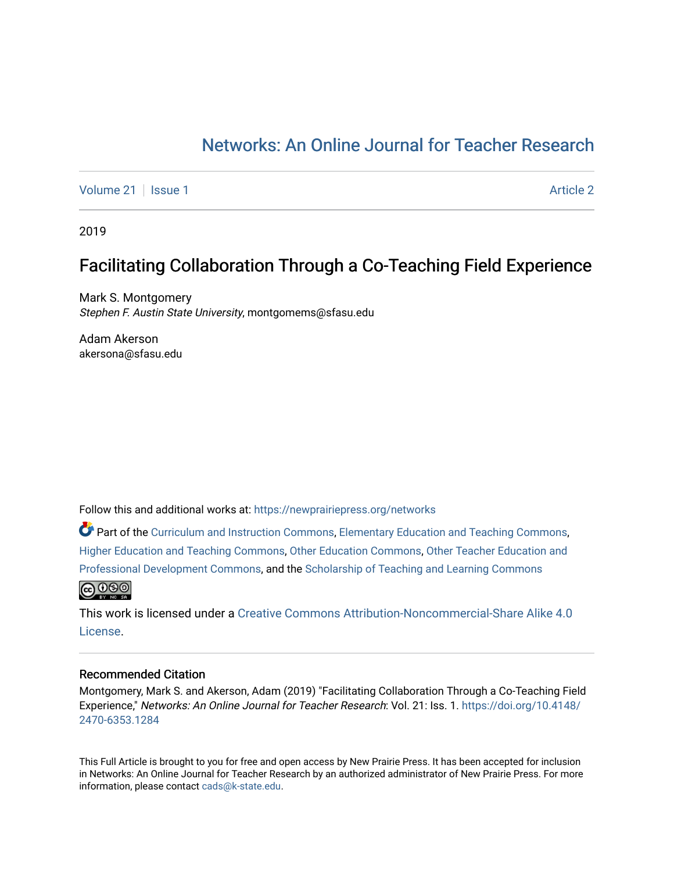# [Networks: An Online Journal for Teacher Research](https://newprairiepress.org/networks)

[Volume 21](https://newprairiepress.org/networks/vol21) | [Issue 1](https://newprairiepress.org/networks/vol21/iss1) [Article 2](https://newprairiepress.org/networks/vol21/iss1/2) | Article 2 | Article 2 | Article 2 | Article 2 | Article 2 | Article 2 | Article 2 | Article 2 | Article 2 | Article 2 | Article 2 | Article 2 | Article 2 | Article 2 | Article 2 | Article 2

2019

## Facilitating Collaboration Through a Co-Teaching Field Experience

Mark S. Montgomery Stephen F. Austin State University, montgomems@sfasu.edu

Adam Akerson akersona@sfasu.edu

Follow this and additional works at: [https://newprairiepress.org/networks](https://newprairiepress.org/networks?utm_source=newprairiepress.org%2Fnetworks%2Fvol21%2Fiss1%2F2&utm_medium=PDF&utm_campaign=PDFCoverPages)

Part of the [Curriculum and Instruction Commons,](http://network.bepress.com/hgg/discipline/786?utm_source=newprairiepress.org%2Fnetworks%2Fvol21%2Fiss1%2F2&utm_medium=PDF&utm_campaign=PDFCoverPages) [Elementary Education and Teaching Commons,](http://network.bepress.com/hgg/discipline/805?utm_source=newprairiepress.org%2Fnetworks%2Fvol21%2Fiss1%2F2&utm_medium=PDF&utm_campaign=PDFCoverPages) [Higher Education and Teaching Commons,](http://network.bepress.com/hgg/discipline/806?utm_source=newprairiepress.org%2Fnetworks%2Fvol21%2Fiss1%2F2&utm_medium=PDF&utm_campaign=PDFCoverPages) [Other Education Commons,](http://network.bepress.com/hgg/discipline/811?utm_source=newprairiepress.org%2Fnetworks%2Fvol21%2Fiss1%2F2&utm_medium=PDF&utm_campaign=PDFCoverPages) [Other Teacher Education and](http://network.bepress.com/hgg/discipline/810?utm_source=newprairiepress.org%2Fnetworks%2Fvol21%2Fiss1%2F2&utm_medium=PDF&utm_campaign=PDFCoverPages)  [Professional Development Commons](http://network.bepress.com/hgg/discipline/810?utm_source=newprairiepress.org%2Fnetworks%2Fvol21%2Fiss1%2F2&utm_medium=PDF&utm_campaign=PDFCoverPages), and the [Scholarship of Teaching and Learning Commons](http://network.bepress.com/hgg/discipline/1328?utm_source=newprairiepress.org%2Fnetworks%2Fvol21%2Fiss1%2F2&utm_medium=PDF&utm_campaign=PDFCoverPages) **@O** 

This work is licensed under a [Creative Commons Attribution-Noncommercial-Share Alike 4.0](https://creativecommons.org/licenses/by-nc-sa/4.0/) [License.](https://creativecommons.org/licenses/by-nc-sa/4.0/)

#### Recommended Citation

Montgomery, Mark S. and Akerson, Adam (2019) "Facilitating Collaboration Through a Co-Teaching Field Experience," Networks: An Online Journal for Teacher Research: Vol. 21: Iss. 1. [https://doi.org/10.4148/](https://doi.org/10.4148/2470-6353.1284) [2470-6353.1284](https://doi.org/10.4148/2470-6353.1284) 

This Full Article is brought to you for free and open access by New Prairie Press. It has been accepted for inclusion in Networks: An Online Journal for Teacher Research by an authorized administrator of New Prairie Press. For more information, please contact [cads@k-state.edu](mailto:cads@k-state.edu).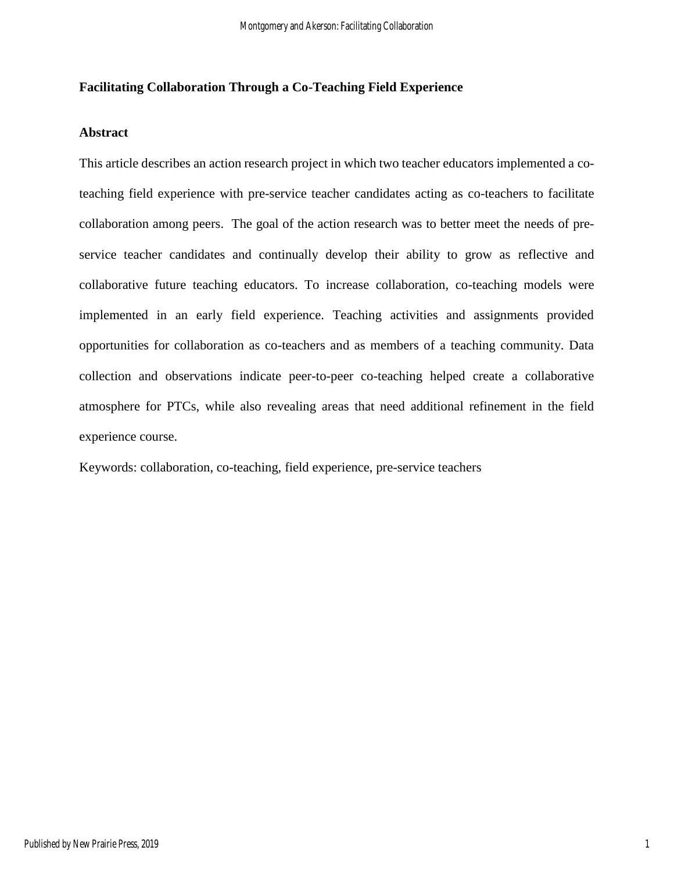## **Facilitating Collaboration Through a Co-Teaching Field Experience**

#### **Abstract**

This article describes an action research project in which two teacher educators implemented a coteaching field experience with pre-service teacher candidates acting as co-teachers to facilitate collaboration among peers. The goal of the action research was to better meet the needs of preservice teacher candidates and continually develop their ability to grow as reflective and collaborative future teaching educators. To increase collaboration, co-teaching models were implemented in an early field experience. Teaching activities and assignments provided opportunities for collaboration as co-teachers and as members of a teaching community. Data collection and observations indicate peer-to-peer co-teaching helped create a collaborative atmosphere for PTCs, while also revealing areas that need additional refinement in the field experience course.

Keywords: collaboration, co-teaching, field experience, pre-service teachers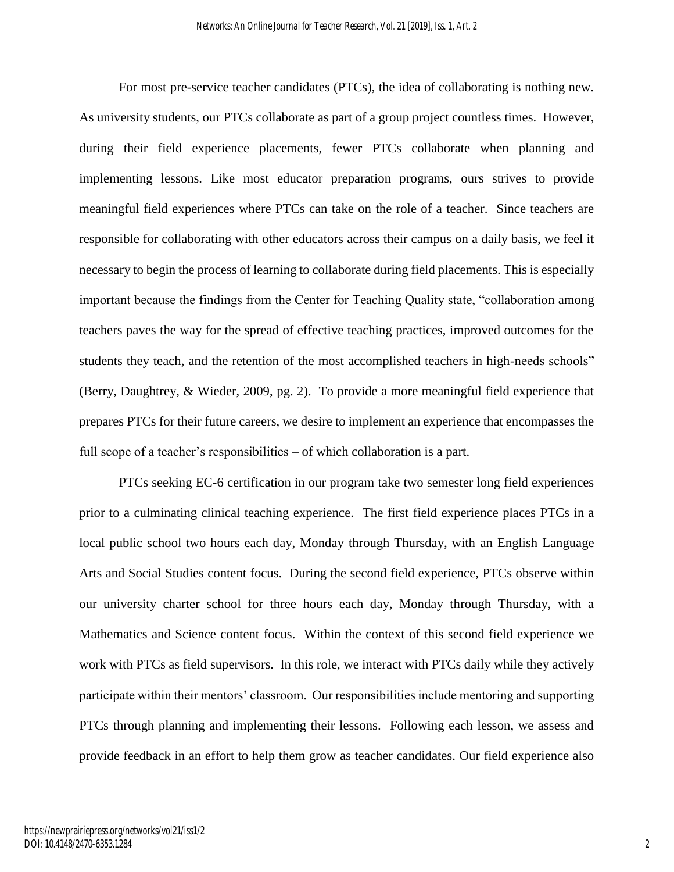For most pre-service teacher candidates (PTCs), the idea of collaborating is nothing new. As university students, our PTCs collaborate as part of a group project countless times. However, during their field experience placements, fewer PTCs collaborate when planning and implementing lessons. Like most educator preparation programs, ours strives to provide meaningful field experiences where PTCs can take on the role of a teacher. Since teachers are responsible for collaborating with other educators across their campus on a daily basis, we feel it necessary to begin the process of learning to collaborate during field placements. This is especially important because the findings from the Center for Teaching Quality state, "collaboration among teachers paves the way for the spread of effective teaching practices, improved outcomes for the students they teach, and the retention of the most accomplished teachers in high-needs schools" (Berry, Daughtrey, & Wieder, 2009, pg. 2). To provide a more meaningful field experience that prepares PTCs for their future careers, we desire to implement an experience that encompasses the full scope of a teacher's responsibilities – of which collaboration is a part.

PTCs seeking EC-6 certification in our program take two semester long field experiences prior to a culminating clinical teaching experience. The first field experience places PTCs in a local public school two hours each day, Monday through Thursday, with an English Language Arts and Social Studies content focus. During the second field experience, PTCs observe within our university charter school for three hours each day, Monday through Thursday, with a Mathematics and Science content focus. Within the context of this second field experience we work with PTCs as field supervisors. In this role, we interact with PTCs daily while they actively participate within their mentors' classroom. Our responsibilities include mentoring and supporting PTCs through planning and implementing their lessons. Following each lesson, we assess and provide feedback in an effort to help them grow as teacher candidates. Our field experience also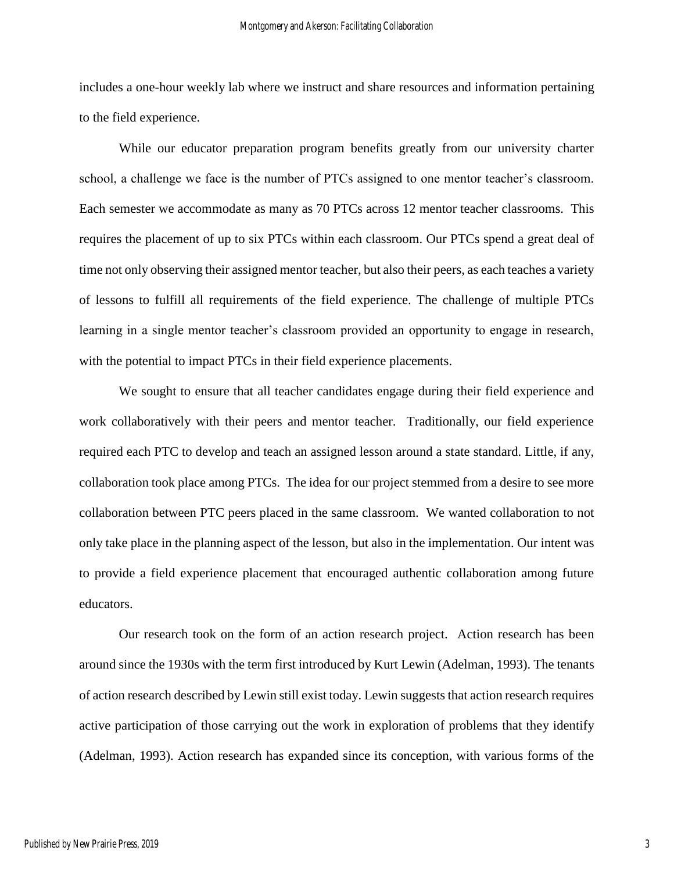includes a one-hour weekly lab where we instruct and share resources and information pertaining to the field experience.

While our educator preparation program benefits greatly from our university charter school, a challenge we face is the number of PTCs assigned to one mentor teacher's classroom. Each semester we accommodate as many as 70 PTCs across 12 mentor teacher classrooms. This requires the placement of up to six PTCs within each classroom. Our PTCs spend a great deal of time not only observing their assigned mentor teacher, but also their peers, as each teaches a variety of lessons to fulfill all requirements of the field experience. The challenge of multiple PTCs learning in a single mentor teacher's classroom provided an opportunity to engage in research, with the potential to impact PTCs in their field experience placements.

We sought to ensure that all teacher candidates engage during their field experience and work collaboratively with their peers and mentor teacher. Traditionally, our field experience required each PTC to develop and teach an assigned lesson around a state standard. Little, if any, collaboration took place among PTCs. The idea for our project stemmed from a desire to see more collaboration between PTC peers placed in the same classroom. We wanted collaboration to not only take place in the planning aspect of the lesson, but also in the implementation. Our intent was to provide a field experience placement that encouraged authentic collaboration among future educators.

Our research took on the form of an action research project. Action research has been around since the 1930s with the term first introduced by Kurt Lewin (Adelman, 1993). The tenants of action research described by Lewin still exist today. Lewin suggests that action research requires active participation of those carrying out the work in exploration of problems that they identify (Adelman, 1993). Action research has expanded since its conception, with various forms of the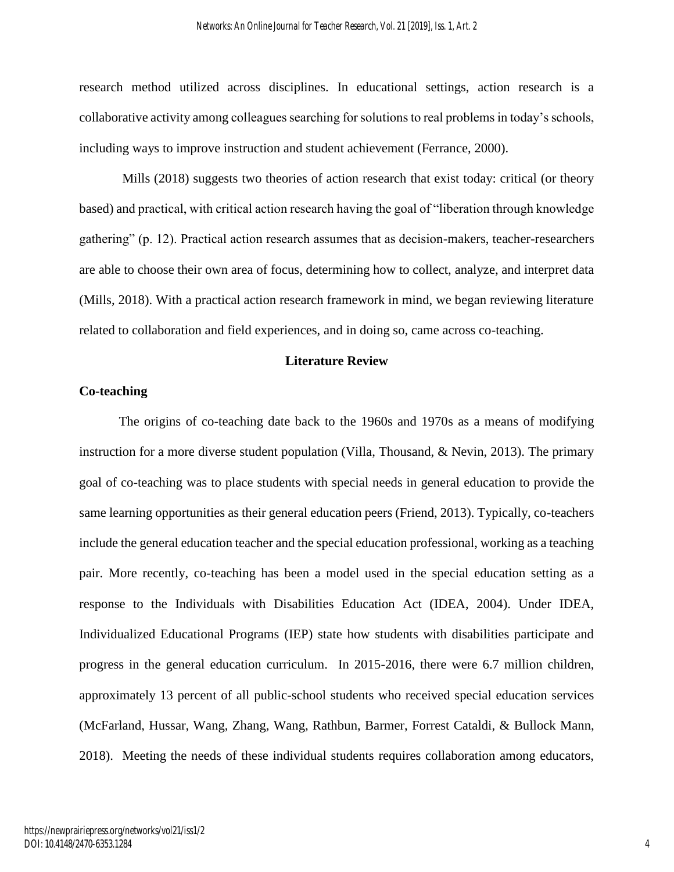research method utilized across disciplines. In educational settings, action research is a collaborative activity among colleagues searching for solutions to real problems in today's schools, including ways to improve instruction and student achievement (Ferrance, 2000).

Mills (2018) suggests two theories of action research that exist today: critical (or theory based) and practical, with critical action research having the goal of "liberation through knowledge gathering" (p. 12). Practical action research assumes that as decision-makers, teacher-researchers are able to choose their own area of focus, determining how to collect, analyze, and interpret data (Mills, 2018). With a practical action research framework in mind, we began reviewing literature related to collaboration and field experiences, and in doing so, came across co-teaching.

#### **Literature Review**

#### **Co-teaching**

The origins of co-teaching date back to the 1960s and 1970s as a means of modifying instruction for a more diverse student population (Villa, Thousand, & Nevin, 2013). The primary goal of co-teaching was to place students with special needs in general education to provide the same learning opportunities as their general education peers (Friend, 2013). Typically, co-teachers include the general education teacher and the special education professional, working as a teaching pair. More recently, co-teaching has been a model used in the special education setting as a response to the Individuals with Disabilities Education Act (IDEA, 2004). Under IDEA, Individualized Educational Programs (IEP) state how students with disabilities participate and progress in the general education curriculum. In 2015-2016, there were 6.7 million children, approximately 13 percent of all public-school students who received special education services (McFarland, Hussar, Wang, Zhang, Wang, Rathbun, Barmer, Forrest Cataldi, & Bullock Mann, 2018). Meeting the needs of these individual students requires collaboration among educators,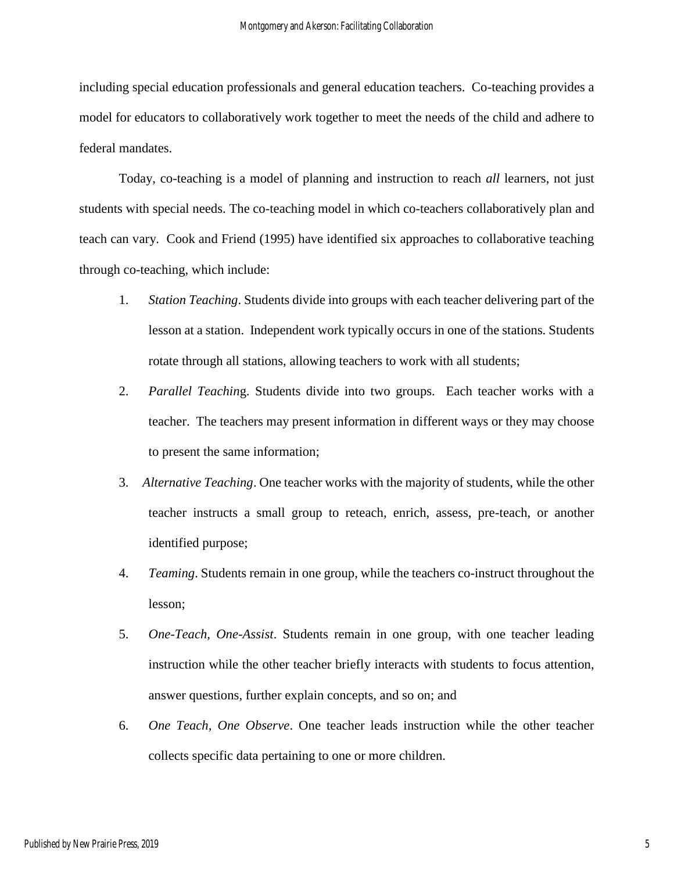including special education professionals and general education teachers. Co-teaching provides a model for educators to collaboratively work together to meet the needs of the child and adhere to federal mandates.

Today, co-teaching is a model of planning and instruction to reach *all* learners, not just students with special needs. The co-teaching model in which co-teachers collaboratively plan and teach can vary. Cook and Friend (1995) have identified six approaches to collaborative teaching through co-teaching, which include:

- 1. *Station Teaching*. Students divide into groups with each teacher delivering part of the lesson at a station. Independent work typically occurs in one of the stations. Students rotate through all stations, allowing teachers to work with all students;
- 2. *Parallel Teachin*g. Students divide into two groups. Each teacher works with a teacher. The teachers may present information in different ways or they may choose to present the same information;
- 3. *Alternative Teaching*. One teacher works with the majority of students, while the other teacher instructs a small group to reteach, enrich, assess, pre-teach, or another identified purpose;
- 4. *Teaming*. Students remain in one group, while the teachers co-instruct throughout the lesson;
- 5. *One-Teach, One-Assist*. Students remain in one group, with one teacher leading instruction while the other teacher briefly interacts with students to focus attention, answer questions, further explain concepts, and so on; and
- 6. *One Teach, One Observe*. One teacher leads instruction while the other teacher collects specific data pertaining to one or more children.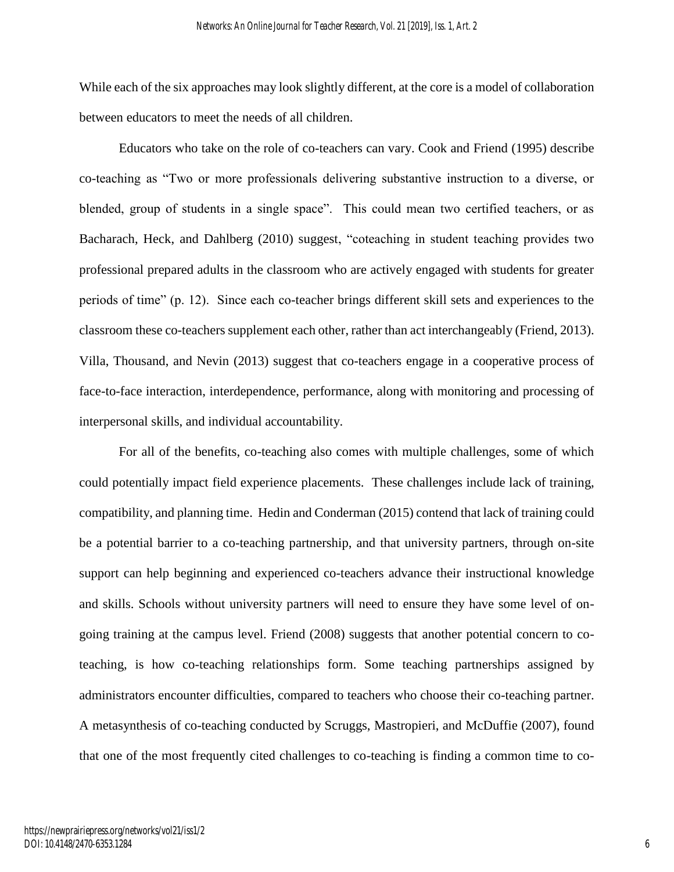While each of the six approaches may look slightly different, at the core is a model of collaboration between educators to meet the needs of all children.

Educators who take on the role of co-teachers can vary. Cook and Friend (1995) describe co-teaching as "Two or more professionals delivering substantive instruction to a diverse, or blended, group of students in a single space". This could mean two certified teachers, or as Bacharach, Heck, and Dahlberg (2010) suggest, "coteaching in student teaching provides two professional prepared adults in the classroom who are actively engaged with students for greater periods of time" (p. 12). Since each co-teacher brings different skill sets and experiences to the classroom these co-teachers supplement each other, rather than act interchangeably (Friend, 2013). Villa, Thousand, and Nevin (2013) suggest that co-teachers engage in a cooperative process of face-to-face interaction, interdependence, performance, along with monitoring and processing of interpersonal skills, and individual accountability.

For all of the benefits, co-teaching also comes with multiple challenges, some of which could potentially impact field experience placements. These challenges include lack of training, compatibility, and planning time. Hedin and Conderman (2015) contend that lack of training could be a potential barrier to a co-teaching partnership, and that university partners, through on-site support can help beginning and experienced co-teachers advance their instructional knowledge and skills. Schools without university partners will need to ensure they have some level of ongoing training at the campus level. Friend (2008) suggests that another potential concern to coteaching, is how co-teaching relationships form. Some teaching partnerships assigned by administrators encounter difficulties, compared to teachers who choose their co-teaching partner. A metasynthesis of co-teaching conducted by Scruggs, Mastropieri, and McDuffie (2007), found that one of the most frequently cited challenges to co-teaching is finding a common time to co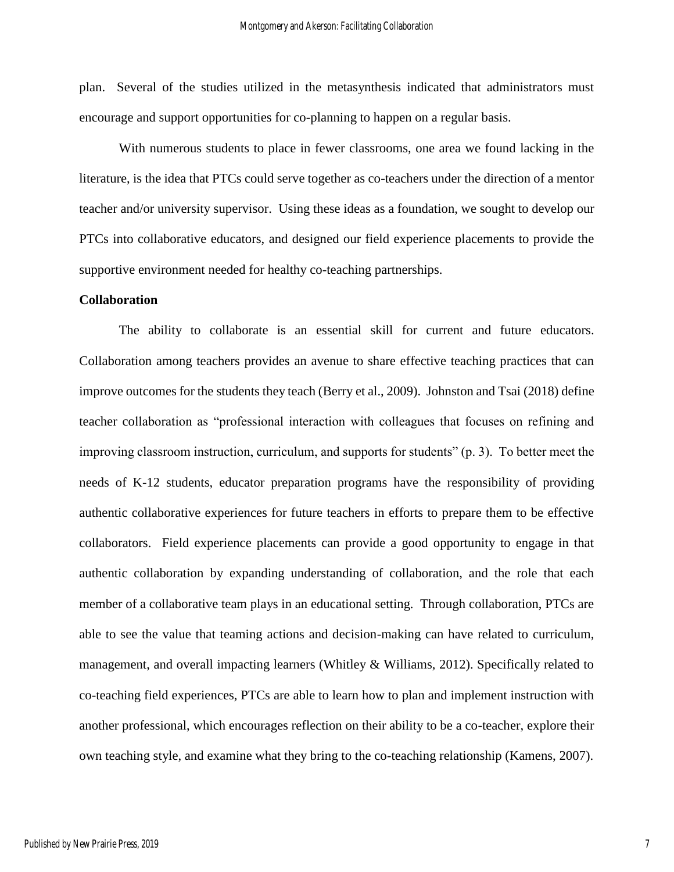plan. Several of the studies utilized in the metasynthesis indicated that administrators must encourage and support opportunities for co-planning to happen on a regular basis.

With numerous students to place in fewer classrooms, one area we found lacking in the literature, is the idea that PTCs could serve together as co-teachers under the direction of a mentor teacher and/or university supervisor. Using these ideas as a foundation, we sought to develop our PTCs into collaborative educators, and designed our field experience placements to provide the supportive environment needed for healthy co-teaching partnerships.

#### **Collaboration**

The ability to collaborate is an essential skill for current and future educators. Collaboration among teachers provides an avenue to share effective teaching practices that can improve outcomes for the students they teach (Berry et al., 2009). Johnston and Tsai (2018) define teacher collaboration as "professional interaction with colleagues that focuses on refining and improving classroom instruction, curriculum, and supports for students" (p. 3). To better meet the needs of K-12 students, educator preparation programs have the responsibility of providing authentic collaborative experiences for future teachers in efforts to prepare them to be effective collaborators. Field experience placements can provide a good opportunity to engage in that authentic collaboration by expanding understanding of collaboration, and the role that each member of a collaborative team plays in an educational setting. Through collaboration, PTCs are able to see the value that teaming actions and decision-making can have related to curriculum, management, and overall impacting learners (Whitley  $&$  Williams, 2012). Specifically related to co-teaching field experiences, PTCs are able to learn how to plan and implement instruction with another professional, which encourages reflection on their ability to be a co-teacher, explore their own teaching style, and examine what they bring to the co-teaching relationship (Kamens, 2007).

7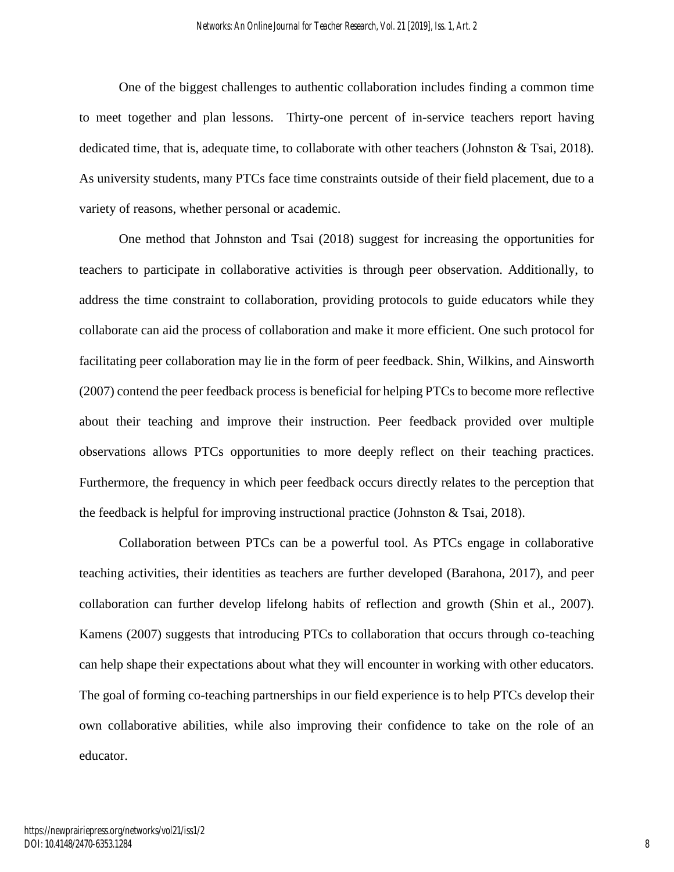One of the biggest challenges to authentic collaboration includes finding a common time to meet together and plan lessons. Thirty-one percent of in-service teachers report having dedicated time, that is, adequate time, to collaborate with other teachers (Johnston & Tsai, 2018). As university students, many PTCs face time constraints outside of their field placement, due to a variety of reasons, whether personal or academic.

One method that Johnston and Tsai (2018) suggest for increasing the opportunities for teachers to participate in collaborative activities is through peer observation. Additionally, to address the time constraint to collaboration, providing protocols to guide educators while they collaborate can aid the process of collaboration and make it more efficient. One such protocol for facilitating peer collaboration may lie in the form of peer feedback. Shin, Wilkins, and Ainsworth (2007) contend the peer feedback process is beneficial for helping PTCs to become more reflective about their teaching and improve their instruction. Peer feedback provided over multiple observations allows PTCs opportunities to more deeply reflect on their teaching practices. Furthermore, the frequency in which peer feedback occurs directly relates to the perception that the feedback is helpful for improving instructional practice (Johnston & Tsai, 2018).

Collaboration between PTCs can be a powerful tool. As PTCs engage in collaborative teaching activities, their identities as teachers are further developed (Barahona, 2017), and peer collaboration can further develop lifelong habits of reflection and growth (Shin et al., 2007). Kamens (2007) suggests that introducing PTCs to collaboration that occurs through co-teaching can help shape their expectations about what they will encounter in working with other educators. The goal of forming co-teaching partnerships in our field experience is to help PTCs develop their own collaborative abilities, while also improving their confidence to take on the role of an educator.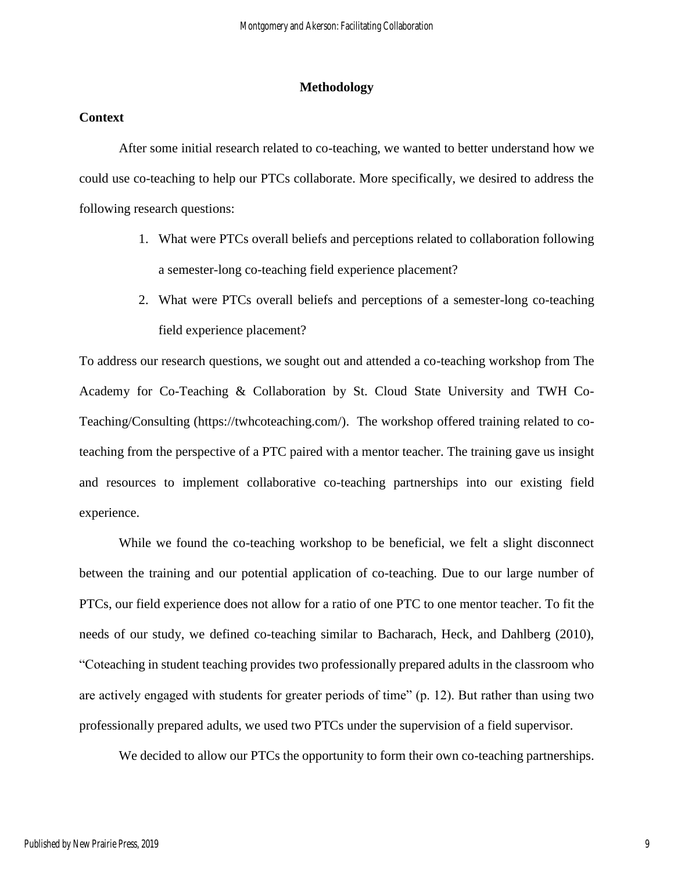#### **Methodology**

#### **Context**

After some initial research related to co-teaching, we wanted to better understand how we could use co-teaching to help our PTCs collaborate. More specifically, we desired to address the following research questions:

- 1. What were PTCs overall beliefs and perceptions related to collaboration following a semester-long co-teaching field experience placement?
- 2. What were PTCs overall beliefs and perceptions of a semester-long co-teaching field experience placement?

To address our research questions, we sought out and attended a co-teaching workshop from The Academy for Co-Teaching & Collaboration by St. Cloud State University and TWH Co-Teaching/Consulting [\(https://twhcoteaching.com/\)](https://twhcoteaching.com/). The workshop offered training related to coteaching from the perspective of a PTC paired with a mentor teacher. The training gave us insight and resources to implement collaborative co-teaching partnerships into our existing field experience.

While we found the co-teaching workshop to be beneficial, we felt a slight disconnect between the training and our potential application of co-teaching. Due to our large number of PTCs, our field experience does not allow for a ratio of one PTC to one mentor teacher. To fit the needs of our study, we defined co-teaching similar to Bacharach, Heck, and Dahlberg (2010), "Coteaching in student teaching provides two professionally prepared adults in the classroom who are actively engaged with students for greater periods of time" (p. 12). But rather than using two professionally prepared adults, we used two PTCs under the supervision of a field supervisor.

We decided to allow our PTCs the opportunity to form their own co-teaching partnerships.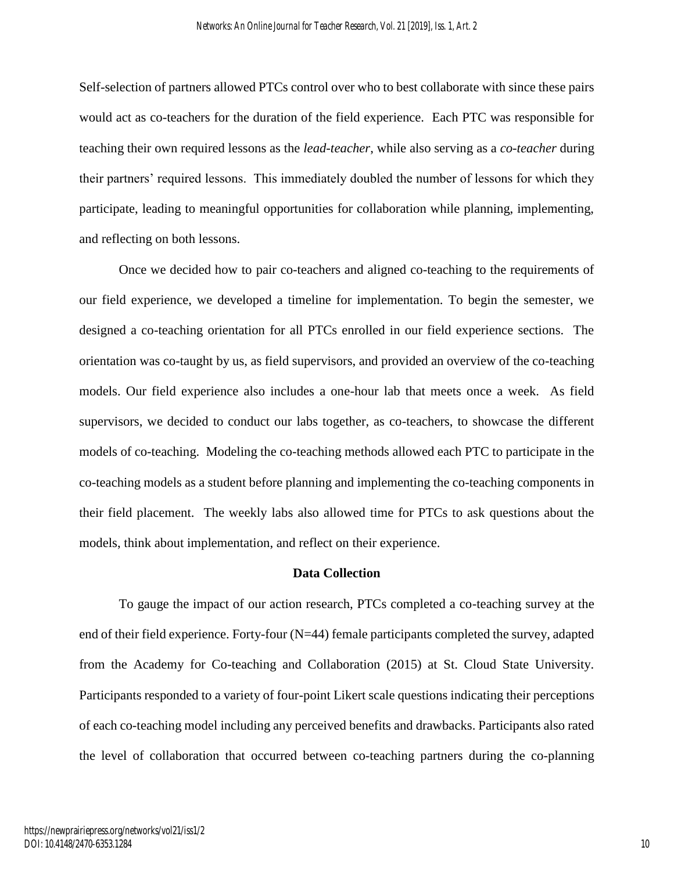Self-selection of partners allowed PTCs control over who to best collaborate with since these pairs would act as co-teachers for the duration of the field experience. Each PTC was responsible for teaching their own required lessons as the *lead-teacher*, while also serving as a *co-teacher* during their partners' required lessons. This immediately doubled the number of lessons for which they participate, leading to meaningful opportunities for collaboration while planning, implementing, and reflecting on both lessons.

Once we decided how to pair co-teachers and aligned co-teaching to the requirements of our field experience, we developed a timeline for implementation. To begin the semester, we designed a co-teaching orientation for all PTCs enrolled in our field experience sections. The orientation was co-taught by us, as field supervisors, and provided an overview of the co-teaching models. Our field experience also includes a one-hour lab that meets once a week. As field supervisors, we decided to conduct our labs together, as co-teachers, to showcase the different models of co-teaching. Modeling the co-teaching methods allowed each PTC to participate in the co-teaching models as a student before planning and implementing the co-teaching components in their field placement. The weekly labs also allowed time for PTCs to ask questions about the models, think about implementation, and reflect on their experience.

#### **Data Collection**

To gauge the impact of our action research, PTCs completed a co-teaching survey at the end of their field experience. Forty-four (N=44) female participants completed the survey, adapted from the Academy for Co-teaching and Collaboration (2015) at St. Cloud State University. Participants responded to a variety of four-point Likert scale questions indicating their perceptions of each co-teaching model including any perceived benefits and drawbacks. Participants also rated the level of collaboration that occurred between co-teaching partners during the co-planning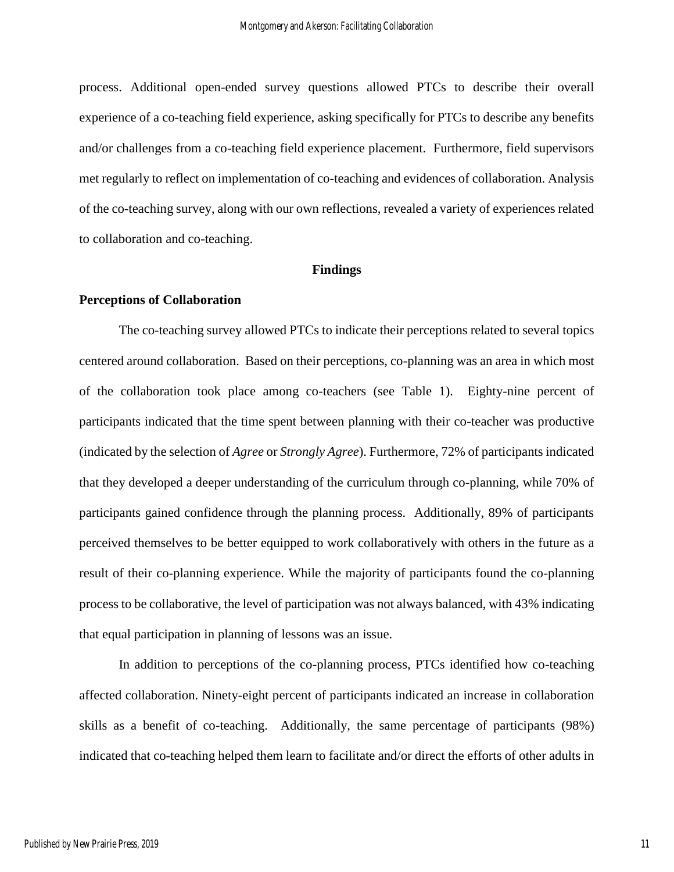process. Additional open-ended survey questions allowed PTCs to describe their overall experience of a co-teaching field experience, asking specifically for PTCs to describe any benefits and/or challenges from a co-teaching field experience placement. Furthermore, field supervisors met regularly to reflect on implementation of co-teaching and evidences of collaboration. Analysis of the co-teaching survey, along with our own reflections, revealed a variety of experiences related to collaboration and co-teaching.

#### **Findings**

#### **Perceptions of Collaboration**

The co-teaching survey allowed PTCs to indicate their perceptions related to several topics centered around collaboration. Based on their perceptions, co-planning was an area in which most of the collaboration took place among co-teachers (see Table 1). Eighty-nine percent of participants indicated that the time spent between planning with their co-teacher was productive (indicated by the selection of *Agree* or *Strongly Agree*). Furthermore, 72% of participants indicated that they developed a deeper understanding of the curriculum through co-planning, while 70% of participants gained confidence through the planning process. Additionally, 89% of participants perceived themselves to be better equipped to work collaboratively with others in the future as a result of their co-planning experience. While the majority of participants found the co-planning process to be collaborative, the level of participation was not always balanced, with 43% indicating that equal participation in planning of lessons was an issue.

In addition to perceptions of the co-planning process, PTCs identified how co-teaching affected collaboration. Ninety-eight percent of participants indicated an increase in collaboration skills as a benefit of co-teaching. Additionally, the same percentage of participants (98%) indicated that co-teaching helped them learn to facilitate and/or direct the efforts of other adults in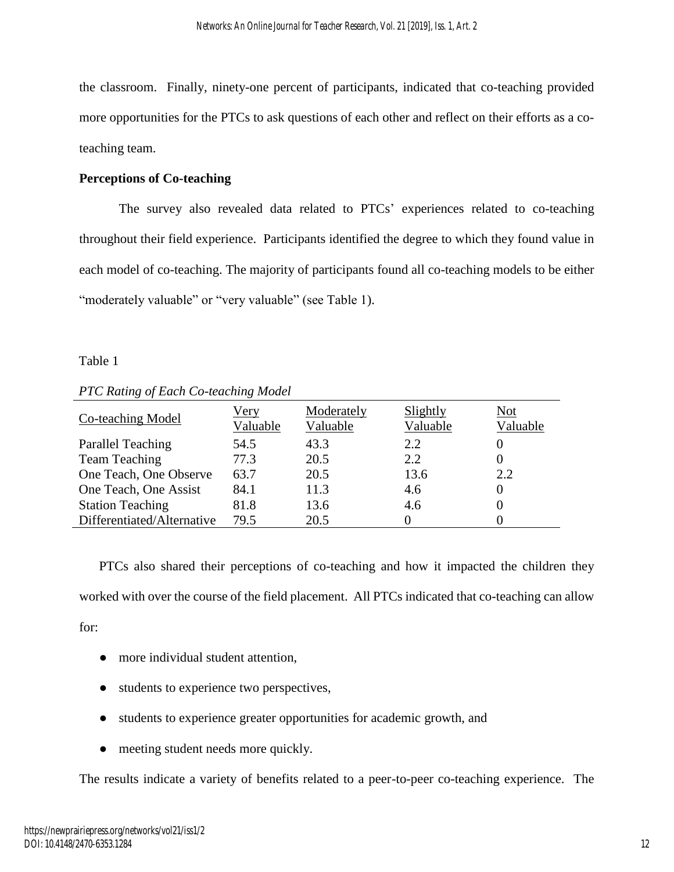the classroom. Finally, ninety-one percent of participants, indicated that co-teaching provided more opportunities for the PTCs to ask questions of each other and reflect on their efforts as a coteaching team.

## **Perceptions of Co-teaching**

The survey also revealed data related to PTCs' experiences related to co-teaching throughout their field experience. Participants identified the degree to which they found value in each model of co-teaching. The majority of participants found all co-teaching models to be either "moderately valuable" or "very valuable" (see Table 1).

## Table 1

| TTC Rannix of Bach Co teaching model |                  |                        |                      |                        |  |  |
|--------------------------------------|------------------|------------------------|----------------------|------------------------|--|--|
| Co-teaching Model                    | Very<br>Valuable | Moderately<br>Valuable | Slightly<br>Valuable | <b>Not</b><br>Valuable |  |  |
| <b>Parallel Teaching</b>             | 54.5             | 43.3                   | 2.2                  |                        |  |  |
| <b>Team Teaching</b>                 | 77.3             | 20.5                   | 2.2                  | $\theta$               |  |  |
| One Teach, One Observe               | 63.7             | 20.5                   | 13.6                 | 2.2                    |  |  |
| One Teach, One Assist                | 84.1             | 11.3                   | 4.6                  | 0                      |  |  |
| <b>Station Teaching</b>              | 81.8             | 13.6                   | 4.6                  |                        |  |  |
| Differentiated/Alternative           | 79.5             | 20.5                   |                      |                        |  |  |

## *PTC Rating of Each Co-teaching Model*

PTCs also shared their perceptions of co-teaching and how it impacted the children they worked with over the course of the field placement. All PTCs indicated that co-teaching can allow for:

- more individual student attention,
- students to experience two perspectives,
- students to experience greater opportunities for academic growth, and
- meeting student needs more quickly.

The results indicate a variety of benefits related to a peer-to-peer co-teaching experience. The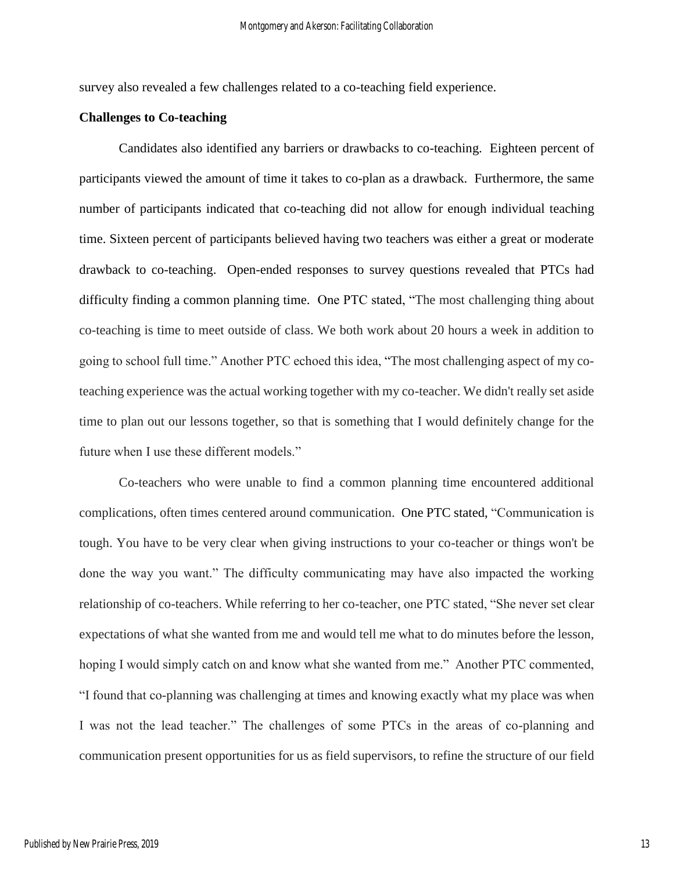survey also revealed a few challenges related to a co-teaching field experience.

#### **Challenges to Co-teaching**

Candidates also identified any barriers or drawbacks to co-teaching. Eighteen percent of participants viewed the amount of time it takes to co-plan as a drawback. Furthermore, the same number of participants indicated that co-teaching did not allow for enough individual teaching time. Sixteen percent of participants believed having two teachers was either a great or moderate drawback to co-teaching. Open-ended responses to survey questions revealed that PTCs had difficulty finding a common planning time. One PTC stated, "The most challenging thing about co-teaching is time to meet outside of class. We both work about 20 hours a week in addition to going to school full time." Another PTC echoed this idea, "The most challenging aspect of my coteaching experience was the actual working together with my co-teacher. We didn't really set aside time to plan out our lessons together, so that is something that I would definitely change for the future when I use these different models."

Co-teachers who were unable to find a common planning time encountered additional complications, often times centered around communication. One PTC stated, "Communication is tough. You have to be very clear when giving instructions to your co-teacher or things won't be done the way you want." The difficulty communicating may have also impacted the working relationship of co-teachers. While referring to her co-teacher, one PTC stated, "She never set clear expectations of what she wanted from me and would tell me what to do minutes before the lesson, hoping I would simply catch on and know what she wanted from me." Another PTC commented, "I found that co-planning was challenging at times and knowing exactly what my place was when I was not the lead teacher." The challenges of some PTCs in the areas of co-planning and communication present opportunities for us as field supervisors, to refine the structure of our field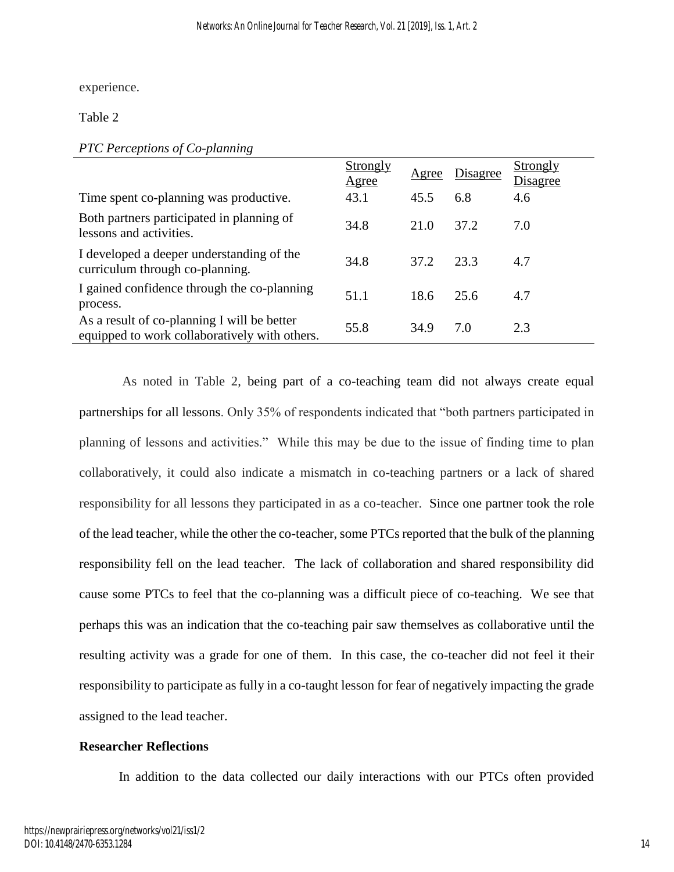experience.

Table 2

|                                                                                              | Strongly<br><u>Agree</u> | <u>Agree</u> | Disagree | Strongly<br>Disagree |
|----------------------------------------------------------------------------------------------|--------------------------|--------------|----------|----------------------|
| Time spent co-planning was productive.                                                       | 43.1                     | 45.5         | 6.8      | 4.6                  |
| Both partners participated in planning of<br>lessons and activities.                         | 34.8                     | 21.0         | 37.2     | 7.0                  |
| I developed a deeper understanding of the<br>curriculum through co-planning.                 | 34.8                     | 37.2         | 23.3     | 4.7                  |
| I gained confidence through the co-planning<br>process.                                      | 51.1                     | 18.6         | 25.6     | 4.7                  |
| As a result of co-planning I will be better<br>equipped to work collaboratively with others. | 55.8                     | 34.9         | 7.0      | 2.3                  |

As noted in Table 2, being part of a co-teaching team did not always create equal partnerships for all lessons. Only 35% of respondents indicated that "both partners participated in planning of lessons and activities." While this may be due to the issue of finding time to plan collaboratively, it could also indicate a mismatch in co-teaching partners or a lack of shared responsibility for all lessons they participated in as a co-teacher. Since one partner took the role of the lead teacher, while the other the co-teacher, some PTCs reported that the bulk of the planning responsibility fell on the lead teacher. The lack of collaboration and shared responsibility did cause some PTCs to feel that the co-planning was a difficult piece of co-teaching. We see that perhaps this was an indication that the co-teaching pair saw themselves as collaborative until the resulting activity was a grade for one of them. In this case, the co-teacher did not feel it their responsibility to participate as fully in a co-taught lesson for fear of negatively impacting the grade assigned to the lead teacher.

## **Researcher Reflections**

In addition to the data collected our daily interactions with our PTCs often provided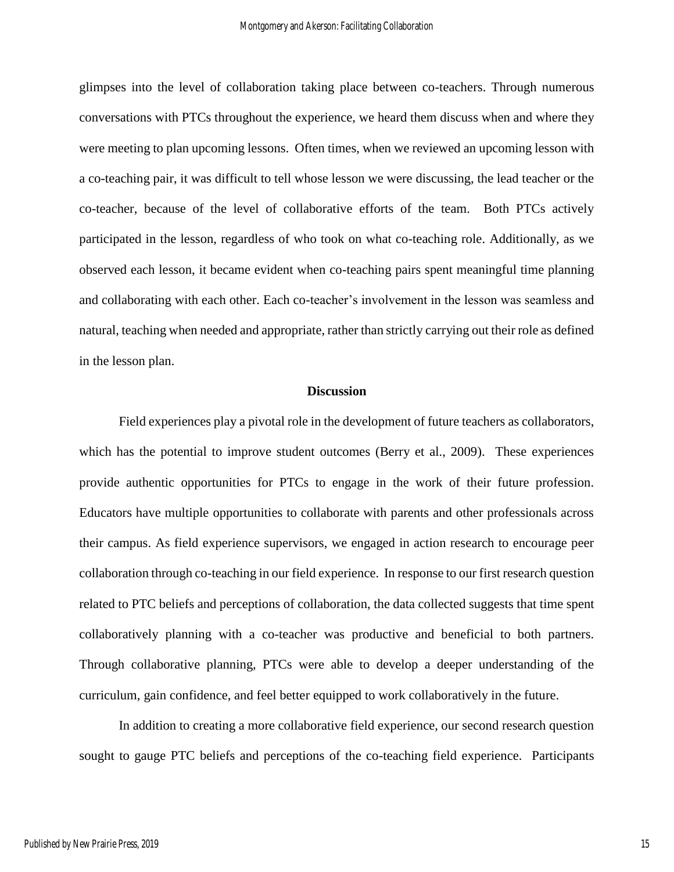glimpses into the level of collaboration taking place between co-teachers. Through numerous conversations with PTCs throughout the experience, we heard them discuss when and where they were meeting to plan upcoming lessons. Often times, when we reviewed an upcoming lesson with a co-teaching pair, it was difficult to tell whose lesson we were discussing, the lead teacher or the co-teacher, because of the level of collaborative efforts of the team. Both PTCs actively participated in the lesson, regardless of who took on what co-teaching role. Additionally, as we observed each lesson, it became evident when co-teaching pairs spent meaningful time planning and collaborating with each other. Each co-teacher's involvement in the lesson was seamless and natural, teaching when needed and appropriate, rather than strictly carrying out their role as defined in the lesson plan.

#### **Discussion**

Field experiences play a pivotal role in the development of future teachers as collaborators, which has the potential to improve student outcomes (Berry et al., 2009). These experiences provide authentic opportunities for PTCs to engage in the work of their future profession. Educators have multiple opportunities to collaborate with parents and other professionals across their campus. As field experience supervisors, we engaged in action research to encourage peer collaboration through co-teaching in our field experience. In response to our first research question related to PTC beliefs and perceptions of collaboration, the data collected suggests that time spent collaboratively planning with a co-teacher was productive and beneficial to both partners. Through collaborative planning, PTCs were able to develop a deeper understanding of the curriculum, gain confidence, and feel better equipped to work collaboratively in the future.

In addition to creating a more collaborative field experience, our second research question sought to gauge PTC beliefs and perceptions of the co-teaching field experience. Participants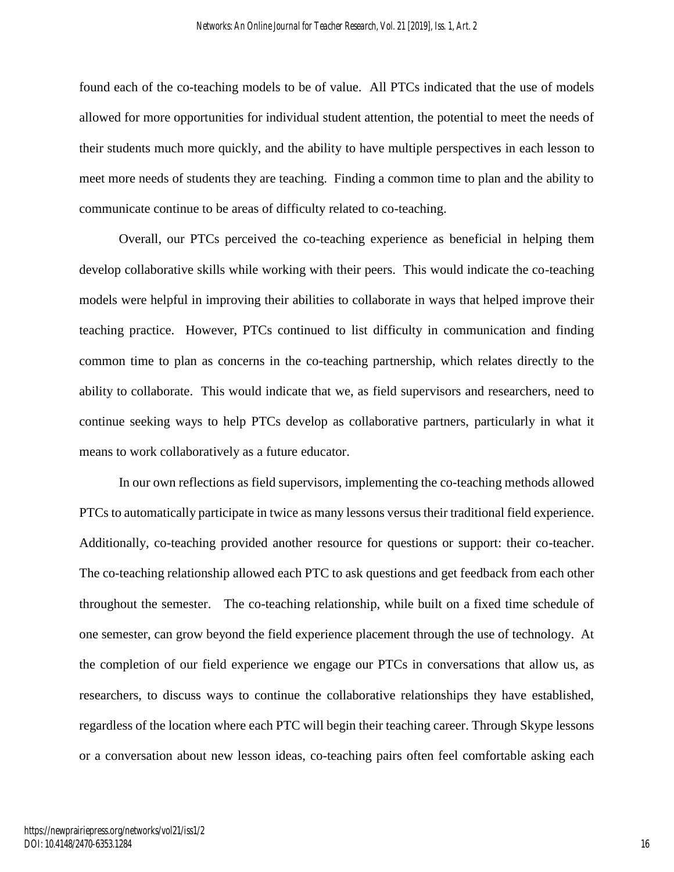found each of the co-teaching models to be of value. All PTCs indicated that the use of models allowed for more opportunities for individual student attention, the potential to meet the needs of their students much more quickly, and the ability to have multiple perspectives in each lesson to meet more needs of students they are teaching. Finding a common time to plan and the ability to communicate continue to be areas of difficulty related to co-teaching.

Overall, our PTCs perceived the co-teaching experience as beneficial in helping them develop collaborative skills while working with their peers. This would indicate the co-teaching models were helpful in improving their abilities to collaborate in ways that helped improve their teaching practice. However, PTCs continued to list difficulty in communication and finding common time to plan as concerns in the co-teaching partnership, which relates directly to the ability to collaborate. This would indicate that we, as field supervisors and researchers, need to continue seeking ways to help PTCs develop as collaborative partners, particularly in what it means to work collaboratively as a future educator.

In our own reflections as field supervisors, implementing the co-teaching methods allowed PTCs to automatically participate in twice as many lessons versus their traditional field experience. Additionally, co-teaching provided another resource for questions or support: their co-teacher. The co-teaching relationship allowed each PTC to ask questions and get feedback from each other throughout the semester. The co-teaching relationship, while built on a fixed time schedule of one semester, can grow beyond the field experience placement through the use of technology. At the completion of our field experience we engage our PTCs in conversations that allow us, as researchers, to discuss ways to continue the collaborative relationships they have established, regardless of the location where each PTC will begin their teaching career. Through Skype lessons or a conversation about new lesson ideas, co-teaching pairs often feel comfortable asking each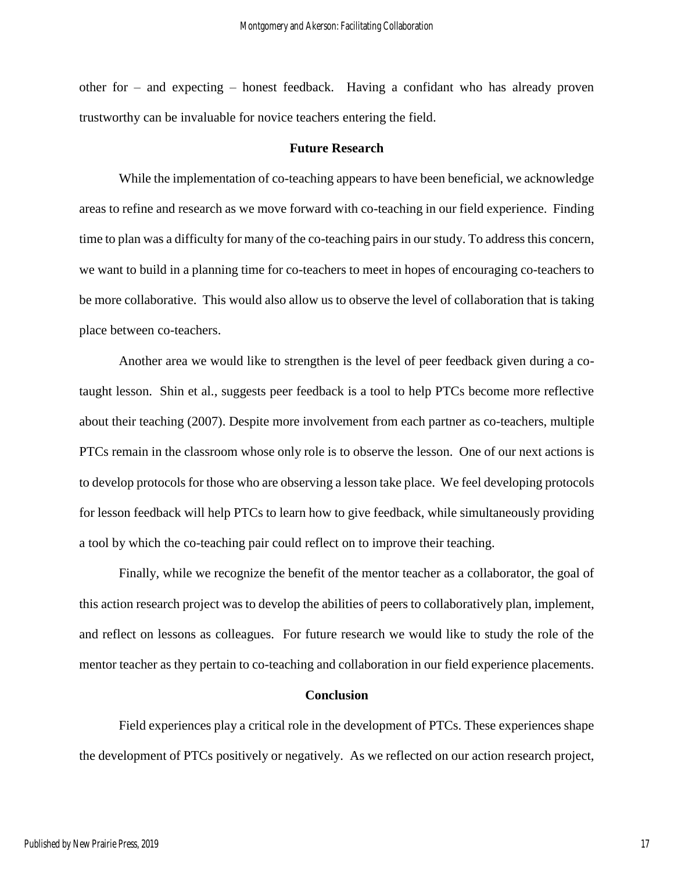other for – and expecting – honest feedback. Having a confidant who has already proven trustworthy can be invaluable for novice teachers entering the field.

#### **Future Research**

While the implementation of co-teaching appears to have been beneficial, we acknowledge areas to refine and research as we move forward with co-teaching in our field experience. Finding time to plan was a difficulty for many of the co-teaching pairs in our study. To address this concern, we want to build in a planning time for co-teachers to meet in hopes of encouraging co-teachers to be more collaborative. This would also allow us to observe the level of collaboration that is taking place between co-teachers.

Another area we would like to strengthen is the level of peer feedback given during a cotaught lesson. Shin et al., suggests peer feedback is a tool to help PTCs become more reflective about their teaching (2007). Despite more involvement from each partner as co-teachers, multiple PTCs remain in the classroom whose only role is to observe the lesson. One of our next actions is to develop protocols for those who are observing a lesson take place. We feel developing protocols for lesson feedback will help PTCs to learn how to give feedback, while simultaneously providing a tool by which the co-teaching pair could reflect on to improve their teaching.

Finally, while we recognize the benefit of the mentor teacher as a collaborator, the goal of this action research project was to develop the abilities of peers to collaboratively plan, implement, and reflect on lessons as colleagues. For future research we would like to study the role of the mentor teacher as they pertain to co-teaching and collaboration in our field experience placements.

#### **Conclusion**

Field experiences play a critical role in the development of PTCs. These experiences shape the development of PTCs positively or negatively. As we reflected on our action research project,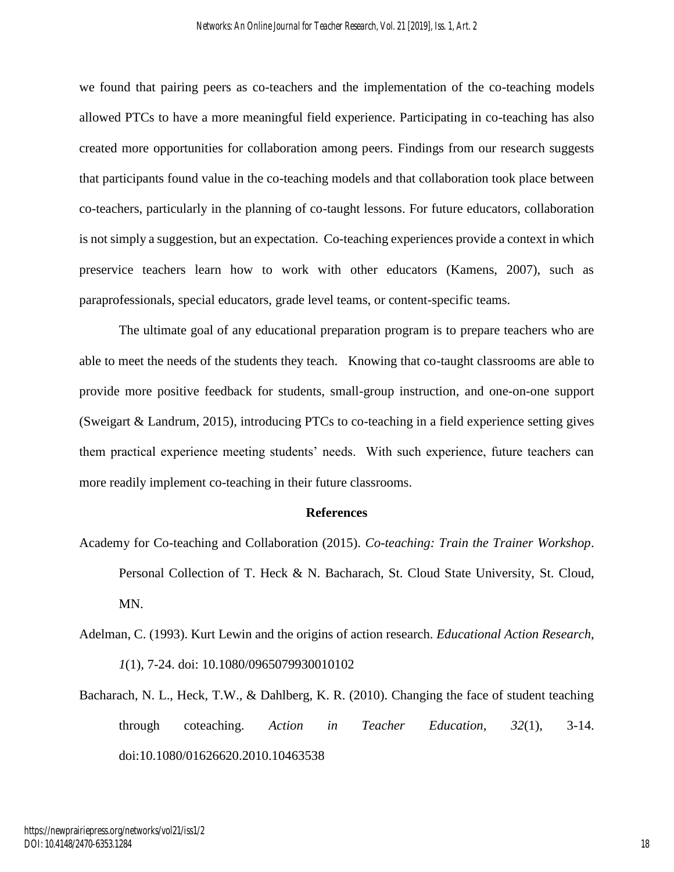we found that pairing peers as co-teachers and the implementation of the co-teaching models allowed PTCs to have a more meaningful field experience. Participating in co-teaching has also created more opportunities for collaboration among peers. Findings from our research suggests that participants found value in the co-teaching models and that collaboration took place between co-teachers, particularly in the planning of co-taught lessons. For future educators, collaboration is not simply a suggestion, but an expectation. Co-teaching experiences provide a context in which preservice teachers learn how to work with other educators (Kamens, 2007), such as paraprofessionals, special educators, grade level teams, or content-specific teams.

The ultimate goal of any educational preparation program is to prepare teachers who are able to meet the needs of the students they teach. Knowing that co-taught classrooms are able to provide more positive feedback for students, small-group instruction, and one-on-one support (Sweigart & Landrum, 2015), introducing PTCs to co-teaching in a field experience setting gives them practical experience meeting students' needs. With such experience, future teachers can more readily implement co-teaching in their future classrooms.

#### **References**

- Academy for Co-teaching and Collaboration (2015). *Co-teaching: Train the Trainer Workshop*. Personal Collection of T. Heck & N. Bacharach, St. Cloud State University, St. Cloud, MN.
- Adelman, C. (1993). Kurt Lewin and the origins of action research. *Educational Action Research*, *1*(1), 7-24. doi: 10.1080/0965079930010102
- Bacharach, N. L., Heck, T.W., & Dahlberg, K. R. (2010). Changing the face of student teaching through coteaching. *Action in Teacher Education, 32*(1), 3-14. doi:10.1080/01626620.2010.10463538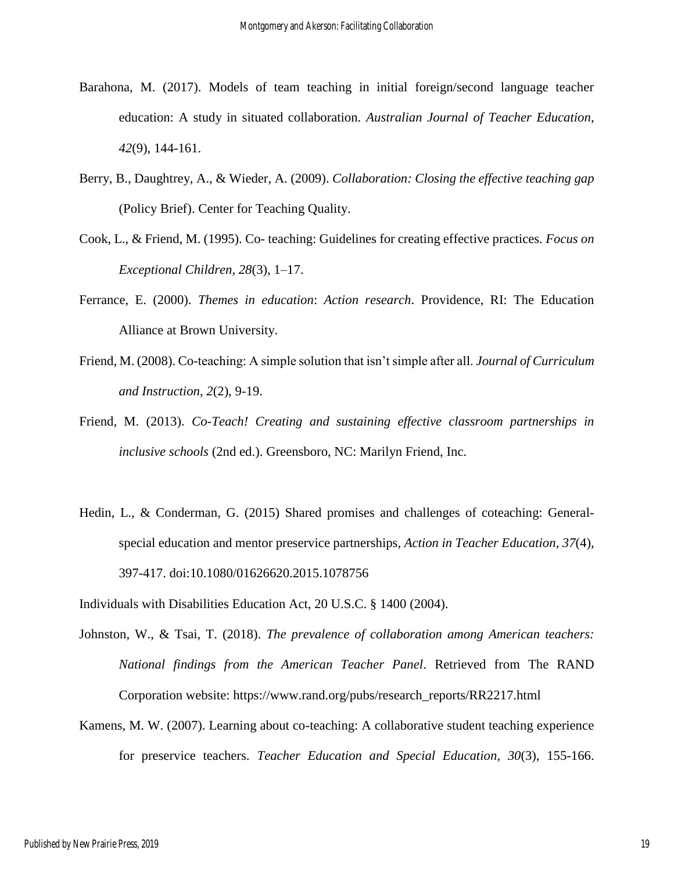- Barahona, M. (2017). Models of team teaching in initial foreign/second language teacher education: A study in situated collaboration. *Australian Journal of Teacher Education*, *42*(9), 144-161.
- Berry, B., Daughtrey, A., & Wieder, A. (2009). *Collaboration: Closing the effective teaching gap* (Policy Brief). Center for Teaching Quality.
- Cook, L., & Friend, M. (1995). Co- teaching: Guidelines for creating effective practices. *Focus on Exceptional Children, 28*(3), 1–17.
- Ferrance, E. (2000). *Themes in education*: *Action research*. Providence, RI: The Education Alliance at Brown University.
- Friend, M. (2008). Co-teaching: A simple solution that isn't simple after all. *Journal of Curriculum and Instruction*, *2*(2), 9-19.
- Friend, M. (2013). *Co-Teach! Creating and sustaining effective classroom partnerships in inclusive schools* (2nd ed.). Greensboro, NC: Marilyn Friend, Inc.
- Hedin, L., & Conderman, G. (2015) Shared promises and challenges of coteaching: Generalspecial education and mentor preservice partnerships, *Action in Teacher Education*, *37*(4), 397-417. doi:10.1080/01626620.2015.1078756
- Individuals with Disabilities Education Act, 20 U.S.C. § 1400 (2004).
- Johnston, W., & Tsai, T. (2018). *The prevalence of collaboration among American teachers: National findings from the American Teacher Panel*. Retrieved from The RAND Corporation website: https://www.rand.org/pubs/research\_reports/RR2217.html
- Kamens, M. W. (2007). Learning about co-teaching: A collaborative student teaching experience for preservice teachers. *Teacher Education and Special Education*, *30*(3), 155-166.